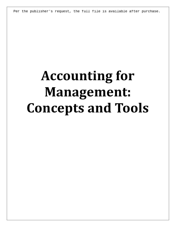Per the publisher's request, the full file is available after purchase.

# **Accounting for Management: Concepts and Tools**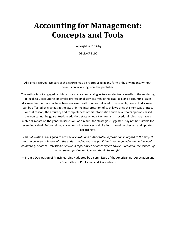## **Accounting for Management: Concepts and Tools**

Copyright  $\odot$  2014 by

DELTACPE LLC

All rights reserved. No part of this course may be reproduced in any form or by any means, without permission in writing from the publisher.

The author is not engaged by this text or any accompanying lecture or electronic media in the rendering of legal, tax, accounting, or similar professional services. While the legal, tax, and accounting issues discussed in this material have been reviewed with sources believed to be reliable, concepts discussed can be affected by changes in the law or in the interpretation of such laws since this text was printed. For that reason, the accuracy and completeness of this information and the author's opinions based thereon cannot be guaranteed. In addition, state or local tax laws and procedural rules may have a material impact on the general discussion. As a result, the strategies suggested may not be suitable for every individual. Before taking any action, all references and citations should be checked and updated accordingly.

*This publication is designed to provide accurate and authoritative information in regard to the subject matter covered. It is sold with the understanding that the publisher is not engaged in rendering legal, accounting, or other professional service. If legal advice or other expert advice is required, the services of a competent professional person should be sought.*

—-From a Declaration of Principles jointly adopted by a committee of the American Bar Association and a Committee of Publishers and Associations.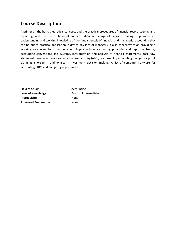### **Course Description**

A primer on the basic theoretical concepts and the practical procedures of financial record keeping and reporting, and the use of financial and cost data in managerial decision making. It provides an understanding and working knowledge of the fundamentals of financial and managerial accounting that can be put to practical application in day-to-day jobs of managers. It also concentrates on providing a working vocabulary for communication. Topics include accounting principles and reporting trends, accounting conventions and systems, interpretation and analysis of financial statements; cast flow statement; break-even analysis; activity-based costing (ABC); responsibility accounting; budget for profit planning; short-term and long-term investment decision making. A list of computer software for accounting, ABC, and budgeting is presented.

**Field of Study Accounting Level of Knowledge Basic to Intermediate** Prerequisite None **Advanced Preparation** None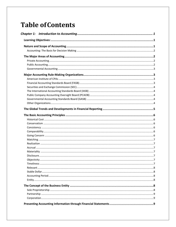## **Table of Contents**

| ${\bf Disclosure.}\label{prop:2} \textbf{Disclosure.}\textbf{.}$ |  |
|------------------------------------------------------------------|--|
|                                                                  |  |
|                                                                  |  |
|                                                                  |  |
|                                                                  |  |
|                                                                  |  |
|                                                                  |  |
|                                                                  |  |
|                                                                  |  |
|                                                                  |  |
|                                                                  |  |
|                                                                  |  |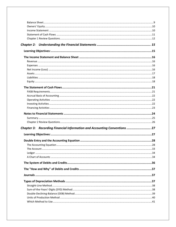| Chapter 3: Recording Financial Information and Accounting Conventions  27 |  |
|---------------------------------------------------------------------------|--|
|                                                                           |  |
|                                                                           |  |
|                                                                           |  |
|                                                                           |  |
|                                                                           |  |
|                                                                           |  |
|                                                                           |  |
|                                                                           |  |
|                                                                           |  |
|                                                                           |  |
|                                                                           |  |
|                                                                           |  |
|                                                                           |  |
|                                                                           |  |
|                                                                           |  |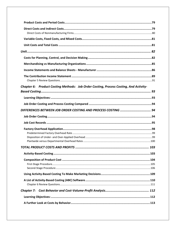| Chapter 6: Product Costing Methods: Job Order Costing, Process Costing, And Activity- |     |
|---------------------------------------------------------------------------------------|-----|
|                                                                                       |     |
|                                                                                       |     |
|                                                                                       |     |
|                                                                                       |     |
|                                                                                       |     |
|                                                                                       |     |
|                                                                                       |     |
|                                                                                       |     |
|                                                                                       |     |
|                                                                                       |     |
|                                                                                       |     |
| <b>TOTAL PRODUCT COSTS AND PROFITS </b>                                               | 103 |
|                                                                                       |     |
|                                                                                       |     |
|                                                                                       |     |
|                                                                                       |     |
|                                                                                       |     |
|                                                                                       |     |
|                                                                                       |     |
|                                                                                       |     |
|                                                                                       |     |
|                                                                                       |     |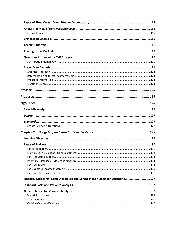| Financial Modeling: Computer-Based and Spreadsheet Models for Budgeting137 |  |
|----------------------------------------------------------------------------|--|
|                                                                            |  |
|                                                                            |  |
|                                                                            |  |
|                                                                            |  |
|                                                                            |  |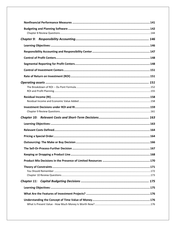| The Sell-Or-Process-Further Decision<br>167 |  |
|---------------------------------------------|--|
|                                             |  |
|                                             |  |
|                                             |  |
|                                             |  |
|                                             |  |
|                                             |  |
|                                             |  |
|                                             |  |
|                                             |  |